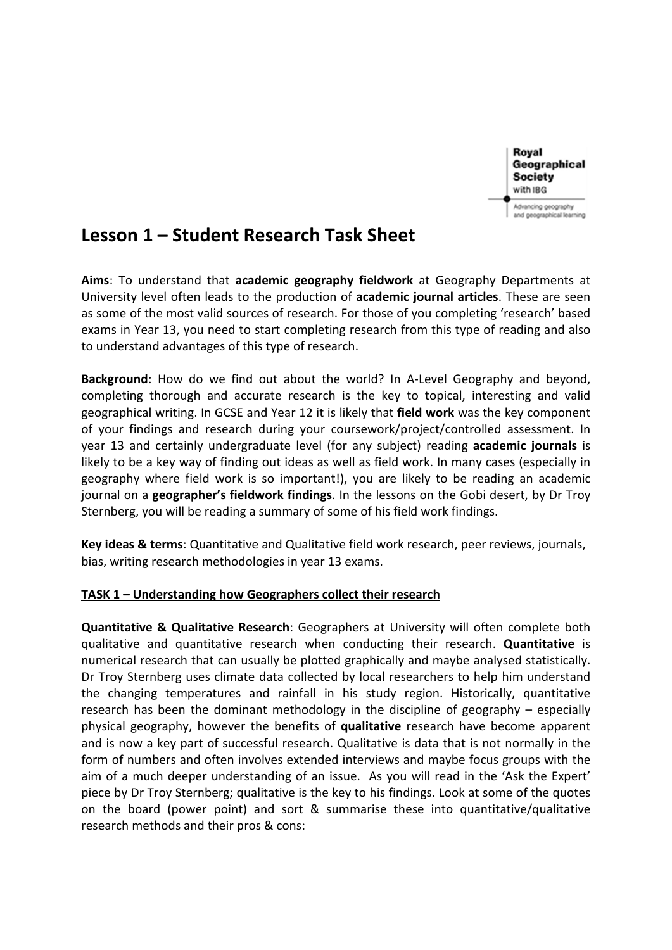

# **Lesson 1 – Student Research Task Sheet**

 **Aims**: To understand that **academic geography fieldwork** at Geography Departments at University level often leads to the production of **academic journal articles**. These are seen as some of the most valid sources of research. For those of you completing 'research' based exams in Year 13, you need to start completing research from this type of reading and also to understand advantages of this type of research.

**Background**: How do we find out about the world? In A-Level Geography and beyond, completing thorough and accurate research is the key to topical, interesting and valid geographical writing. In GCSE and Year 12 it is likely that **field work** was the key component of your findings and research during your coursework/project/controlled assessment. In year 13 and certainly undergraduate level (for any subject) reading **academic journals** is likely to be a key way of finding out ideas as well as field work. In many cases (especially in geography where field work is so important!), you are likely to be reading an academic journal on a **geographer's fieldwork findings**. In the lessons on the Gobi desert, by Dr Troy Sternberg, you will be reading a summary of some of his field work findings.

**Key ideas & terms**: Quantitative and Qualitative field work research, peer reviews, journals, bias, writing research methodologies in year 13 exams.

# **TASK 1 – Understanding how Geographers collect their research**

**Quantitative & Qualitative Research**: Geographers at University will often complete both qualitative and quantitative research when conducting their research. **Quantitative** is numerical research that can usually be plotted graphically and maybe analysed statistically. Dr Troy Sternberg uses climate data collected by local researchers to help him understand the changing temperatures and rainfall in his study region. Historically, quantitative research has been the dominant methodology in the discipline of geography – especially physical geography, however the benefits of **qualitative** research have become apparent and is now a key part of successful research. Qualitative is data that is not normally in the form of numbers and often involves extended interviews and maybe focus groups with the aim of a much deeper understanding of an issue. As you will read in the 'Ask the Expert' piece by Dr Troy Sternberg; qualitative is the key to his findings. Look at some of the quotes on the board (power point) and sort & summarise these into quantitative/qualitative research methods and their pros & cons: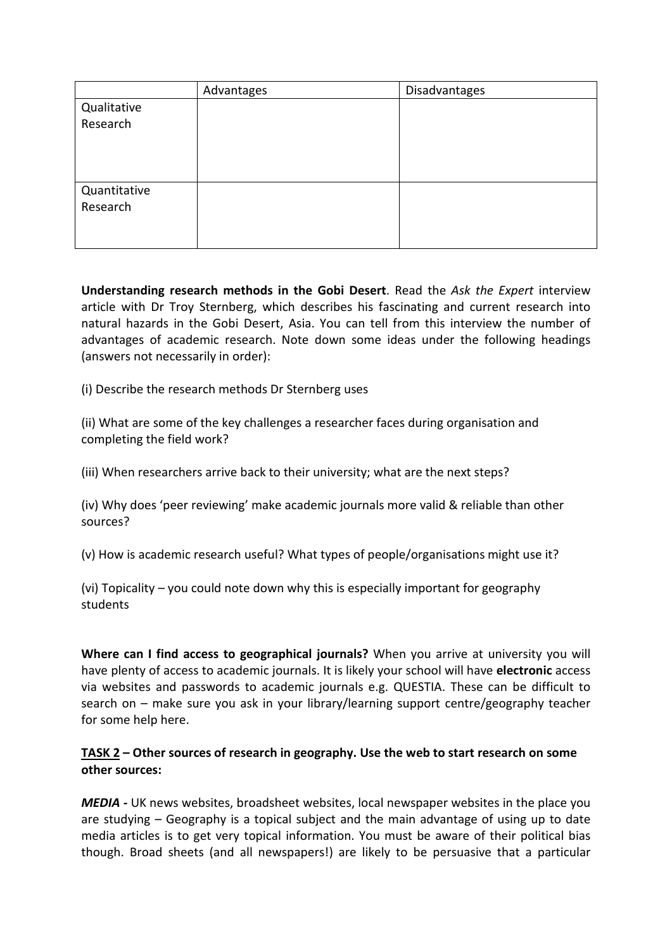|              | Advantages | Disadvantages |
|--------------|------------|---------------|
| Qualitative  |            |               |
| Research     |            |               |
|              |            |               |
|              |            |               |
|              |            |               |
| Quantitative |            |               |
| Research     |            |               |
|              |            |               |
|              |            |               |

**Understanding research methods in the Gobi Desert**. Read the *Ask the Expert* interview article with Dr Troy Sternberg, which describes his fascinating and current research into natural hazards in the Gobi Desert, Asia. You can tell from this interview the number of advantages of academic research. Note down some ideas under the following headings (answers not necessarily in order):

(i) Describe the research methods Dr Sternberg uses

(ii) What are some of the key challenges a researcher faces during organisation and completing the field work?

(iii) When researchers arrive back to their university; what are the next steps?

(iv) Why does 'peer reviewing' make academic journals more valid & reliable than other sources?

(v) How is academic research useful? What types of people/organisations might use it?

(vi) Topicality – you could note down why this is especially important for geography students

**Where can I find access to geographical journals?** When you arrive at university you will have plenty of access to academic journals. It is likely your school will have **electronic** access via websites and passwords to academic journals e.g. QUESTIA. These can be difficult to search on – make sure you ask in your library/learning support centre/geography teacher for some help here.

# **TASK 2 – Other sources of research in geography. Use the web to start research on some other sources:**

*MEDIA -* UK news websites, broadsheet websites, local newspaper websites in the place you are studying – Geography is a topical subject and the main advantage of using up to date media articles is to get very topical information. You must be aware of their political bias though. Broad sheets (and all newspapers!) are likely to be persuasive that a particular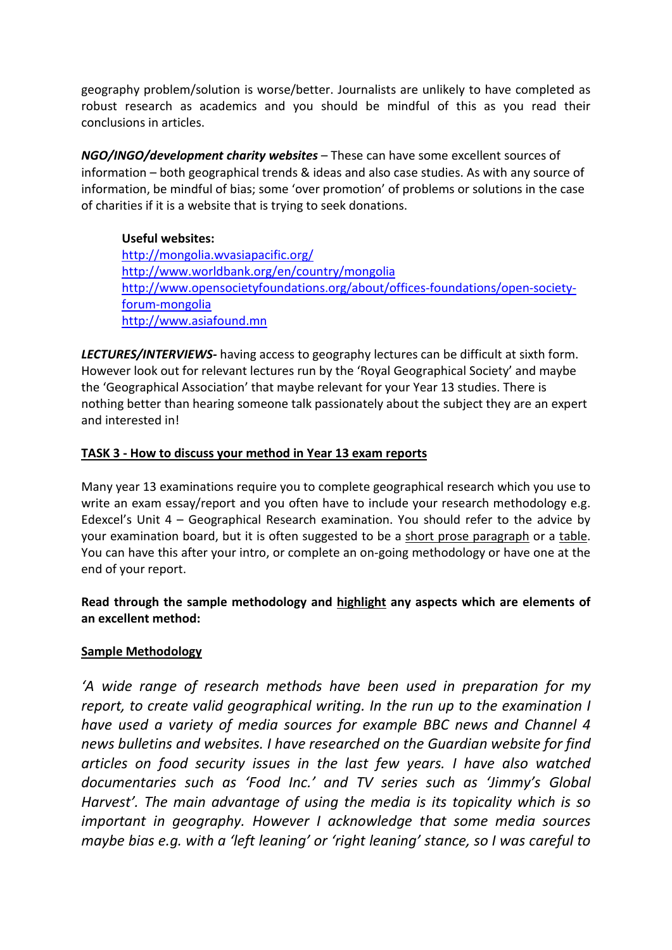geography problem/solution is worse/better. Journalists are unlikely to have completed as robust research as academics and you should be mindful of this as you read their conclusions in articles.

*NGO/INGO/development charity websites* – These can have some excellent sources of information – both geographical trends & ideas and also case studies. As with any source of information, be mindful of bias; some 'over promotion' of problems or solutions in the case of charities if it is a website that is trying to seek donations.

**Useful websites:** <http://mongolia.wvasiapacific.org/> [http://www.worldbank.org/en/country/mongolia](https://mail.jfs.brent.sch.uk/owa/redir.aspx?C=0xk_z71uCE2IohL0zjMEX_cSHfI1B9AIH4-ue-uXEIGDT-e-2lvqKrt9sCVlrH7pmDFLYmeow3M.&URL=http%3a%2f%2fwww.worldbank.org%2fen%2fcountry%2fmongolia) [http://www.opensocietyfoundations.org/about/offices-foundations/open-society](http://www.opensocietyfoundations.org/about/offices-foundations/open-society-forum-mongolia)[forum-mongolia](http://www.opensocietyfoundations.org/about/offices-foundations/open-society-forum-mongolia) [http://www.asiafound.mn](http://www.asiafound.mn/)

*LECTURES/INTERVIEWS-* having access to geography lectures can be difficult at sixth form. However look out for relevant lectures run by the 'Royal Geographical Society' and maybe the 'Geographical Association' that maybe relevant for your Year 13 studies. There is nothing better than hearing someone talk passionately about the subject they are an expert and interested in!

# **TASK 3 - How to discuss your method in Year 13 exam reports**

Many year 13 examinations require you to complete geographical research which you use to write an exam essay/report and you often have to include your research methodology e.g. Edexcel's Unit  $4 - Geographical$  Research examination. You should refer to the advice by your examination board, but it is often suggested to be a short prose paragraph or a table. You can have this after your intro, or complete an on-going methodology or have one at the end of your report.

**Read through the sample methodology and highlight any aspects which are elements of an excellent method:**

# **Sample Methodology**

*'A wide range of research methods have been used in preparation for my report, to create valid geographical writing. In the run up to the examination I have used a variety of media sources for example BBC news and Channel 4 news bulletins and websites. I have researched on the Guardian website for find articles on food security issues in the last few years. I have also watched documentaries such as 'Food Inc.' and TV series such as 'Jimmy's Global Harvest'. The main advantage of using the media is its topicality which is so important in geography. However I acknowledge that some media sources maybe bias e.g. with a 'left leaning' or 'right leaning' stance, so I was careful to*